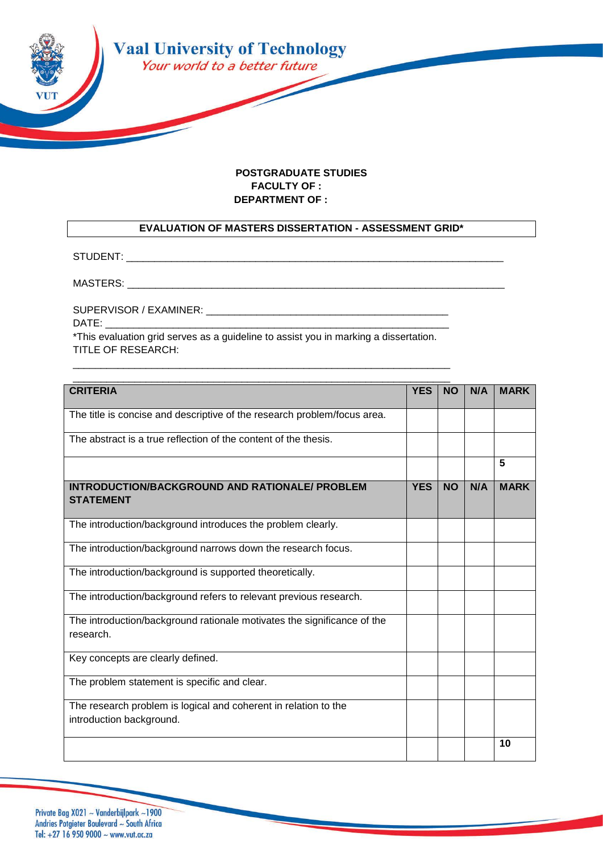

## **POSTGRADUATE STUDIES FACULTY OF : DEPARTMENT OF :**

## **EVALUATION OF MASTERS DISSERTATION - ASSESSMENT GRID\***

STUDENT: \_\_\_\_\_\_\_\_\_\_\_\_\_\_\_\_\_\_\_\_\_\_\_\_\_\_\_\_\_\_\_\_\_\_\_\_\_\_\_\_\_\_\_\_\_\_\_\_\_\_\_\_\_\_\_\_\_\_\_\_\_\_\_\_\_\_\_

MASTERS:

SUPERVISOR / EXAMINER: \_\_\_\_\_\_\_\_\_\_\_\_\_\_\_\_\_\_\_\_\_\_\_\_\_\_\_\_\_\_\_\_\_\_\_\_\_\_\_\_\_\_\_

DATE:

\*This evaluation grid serves as a guideline to assist you in marking a dissertation. TITLE OF RESEARCH:

\_\_\_\_\_\_\_\_\_\_\_\_\_\_\_\_\_\_\_\_\_\_\_\_\_\_\_\_\_\_\_\_\_\_\_\_\_\_\_\_\_\_\_\_\_\_\_\_\_\_\_\_\_\_\_\_\_\_\_\_\_\_\_\_\_\_\_

| <b>CRITERIA</b>                                                                             | <b>YES</b> | <b>NO</b> | N/A | <b>MARK</b> |
|---------------------------------------------------------------------------------------------|------------|-----------|-----|-------------|
| The title is concise and descriptive of the research problem/focus area.                    |            |           |     |             |
| The abstract is a true reflection of the content of the thesis.                             |            |           |     |             |
|                                                                                             |            |           |     | 5           |
| <b>INTRODUCTION/BACKGROUND AND RATIONALE/ PROBLEM</b><br><b>STATEMENT</b>                   | <b>YES</b> | <b>NO</b> | N/A | <b>MARK</b> |
| The introduction/background introduces the problem clearly.                                 |            |           |     |             |
| The introduction/background narrows down the research focus.                                |            |           |     |             |
| The introduction/background is supported theoretically.                                     |            |           |     |             |
| The introduction/background refers to relevant previous research.                           |            |           |     |             |
| The introduction/background rationale motivates the significance of the<br>research.        |            |           |     |             |
| Key concepts are clearly defined.                                                           |            |           |     |             |
| The problem statement is specific and clear.                                                |            |           |     |             |
| The research problem is logical and coherent in relation to the<br>introduction background. |            |           |     |             |
|                                                                                             |            |           |     | 10          |

Private Bag X021 ~ Vanderbijlpark ~1900 Andries Potgieter Boulevard ~ South Africa Tel: +27 16 950 9000 ~ www.vut.ac.za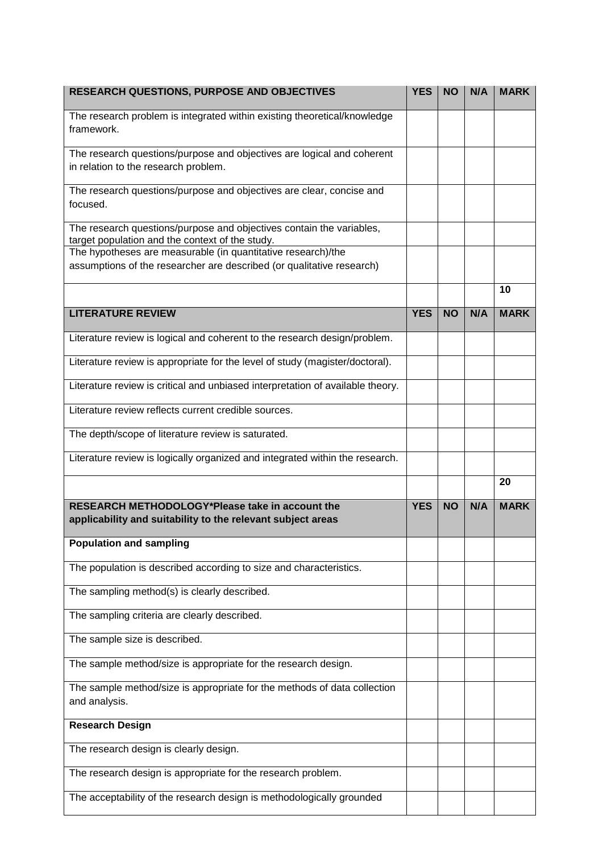| <b>RESEARCH QUESTIONS, PURPOSE AND OBJECTIVES</b>                                                                                     | <b>YES</b> | <b>NO</b> | N/A | <b>MARK</b> |
|---------------------------------------------------------------------------------------------------------------------------------------|------------|-----------|-----|-------------|
| The research problem is integrated within existing theoretical/knowledge<br>framework.                                                |            |           |     |             |
| The research questions/purpose and objectives are logical and coherent<br>in relation to the research problem.                        |            |           |     |             |
| The research questions/purpose and objectives are clear, concise and<br>focused.                                                      |            |           |     |             |
| The research questions/purpose and objectives contain the variables,<br>target population and the context of the study.               |            |           |     |             |
| The hypotheses are measurable (in quantitative research)/the<br>assumptions of the researcher are described (or qualitative research) |            |           |     |             |
|                                                                                                                                       |            |           |     | 10          |
| <b>LITERATURE REVIEW</b>                                                                                                              | <b>YES</b> | <b>NO</b> | N/A | <b>MARK</b> |
| Literature review is logical and coherent to the research design/problem.                                                             |            |           |     |             |
| Literature review is appropriate for the level of study (magister/doctoral).                                                          |            |           |     |             |
| Literature review is critical and unbiased interpretation of available theory.                                                        |            |           |     |             |
| Literature review reflects current credible sources.                                                                                  |            |           |     |             |
| The depth/scope of literature review is saturated.                                                                                    |            |           |     |             |
| Literature review is logically organized and integrated within the research.                                                          |            |           |     |             |
|                                                                                                                                       |            |           |     | 20          |
| RESEARCH METHODOLOGY*Please take in account the<br>applicability and suitability to the relevant subject areas                        | <b>YES</b> | <b>NO</b> | N/A | <b>MARK</b> |
| <b>Population and sampling</b>                                                                                                        |            |           |     |             |
| The population is described according to size and characteristics.                                                                    |            |           |     |             |
| The sampling method(s) is clearly described.                                                                                          |            |           |     |             |
| The sampling criteria are clearly described.                                                                                          |            |           |     |             |
| The sample size is described.                                                                                                         |            |           |     |             |
| The sample method/size is appropriate for the research design.                                                                        |            |           |     |             |
| The sample method/size is appropriate for the methods of data collection<br>and analysis.                                             |            |           |     |             |
| <b>Research Design</b>                                                                                                                |            |           |     |             |
| The research design is clearly design.                                                                                                |            |           |     |             |
| The research design is appropriate for the research problem.                                                                          |            |           |     |             |
| The acceptability of the research design is methodologically grounded                                                                 |            |           |     |             |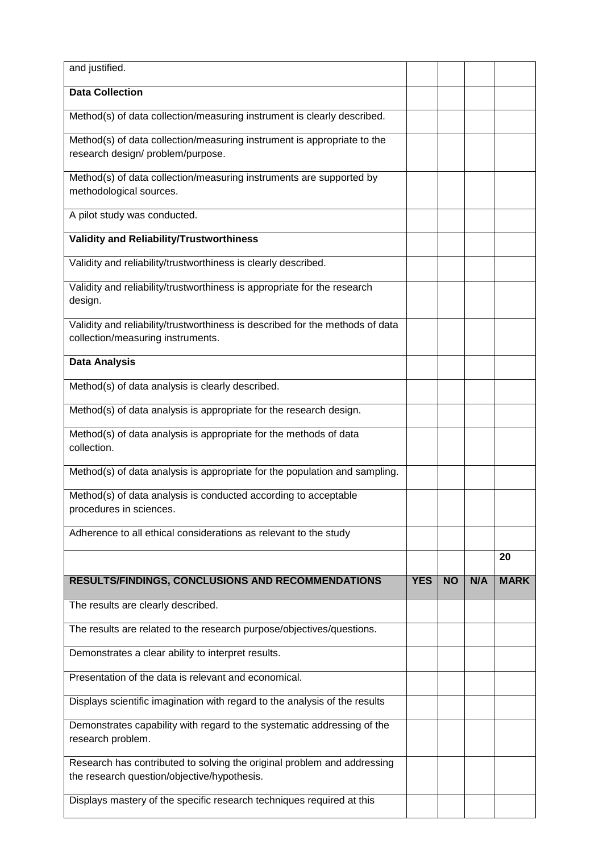| and justified.                                                                                                         |            |           |     |             |
|------------------------------------------------------------------------------------------------------------------------|------------|-----------|-----|-------------|
| <b>Data Collection</b>                                                                                                 |            |           |     |             |
| Method(s) of data collection/measuring instrument is clearly described.                                                |            |           |     |             |
| Method(s) of data collection/measuring instrument is appropriate to the<br>research design/ problem/purpose.           |            |           |     |             |
| Method(s) of data collection/measuring instruments are supported by<br>methodological sources.                         |            |           |     |             |
| A pilot study was conducted.                                                                                           |            |           |     |             |
| Validity and Reliability/Trustworthiness                                                                               |            |           |     |             |
| Validity and reliability/trustworthiness is clearly described.                                                         |            |           |     |             |
| Validity and reliability/trustworthiness is appropriate for the research<br>design.                                    |            |           |     |             |
| Validity and reliability/trustworthiness is described for the methods of data<br>collection/measuring instruments.     |            |           |     |             |
| <b>Data Analysis</b>                                                                                                   |            |           |     |             |
| Method(s) of data analysis is clearly described.                                                                       |            |           |     |             |
| Method(s) of data analysis is appropriate for the research design.                                                     |            |           |     |             |
| Method(s) of data analysis is appropriate for the methods of data<br>collection.                                       |            |           |     |             |
| Method(s) of data analysis is appropriate for the population and sampling.                                             |            |           |     |             |
| Method(s) of data analysis is conducted according to acceptable<br>procedures in sciences.                             |            |           |     |             |
| Adherence to all ethical considerations as relevant to the study                                                       |            |           |     |             |
|                                                                                                                        |            |           |     | 20          |
| <b>RESULTS/FINDINGS, CONCLUSIONS AND RECOMMENDATIONS</b>                                                               | <b>YES</b> | <b>NO</b> | N/A | <b>MARK</b> |
| The results are clearly described.                                                                                     |            |           |     |             |
| The results are related to the research purpose/objectives/questions.                                                  |            |           |     |             |
| Demonstrates a clear ability to interpret results.                                                                     |            |           |     |             |
| Presentation of the data is relevant and economical.                                                                   |            |           |     |             |
| Displays scientific imagination with regard to the analysis of the results                                             |            |           |     |             |
| Demonstrates capability with regard to the systematic addressing of the<br>research problem.                           |            |           |     |             |
| Research has contributed to solving the original problem and addressing<br>the research question/objective/hypothesis. |            |           |     |             |
| Displays mastery of the specific research techniques required at this                                                  |            |           |     |             |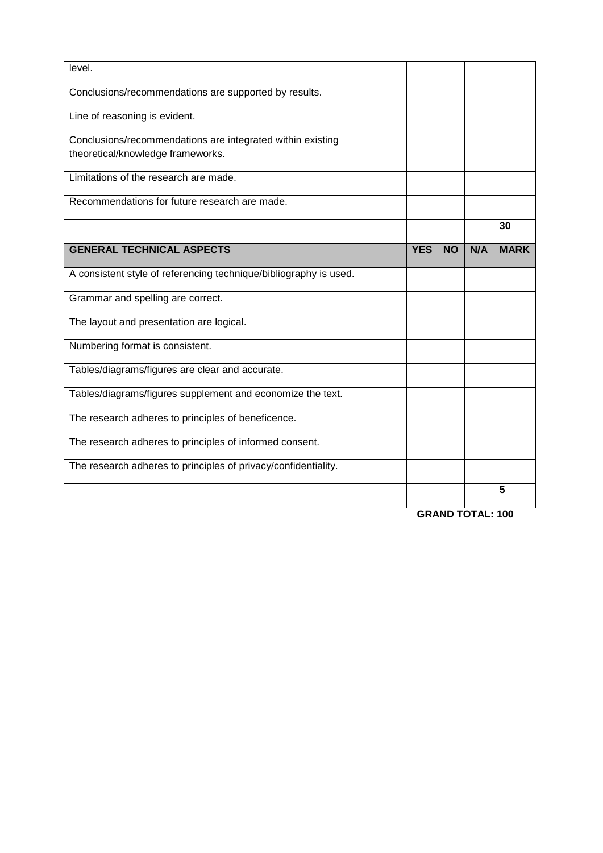| level.                                                            |            |           |     |             |
|-------------------------------------------------------------------|------------|-----------|-----|-------------|
| Conclusions/recommendations are supported by results.             |            |           |     |             |
| Line of reasoning is evident.                                     |            |           |     |             |
| Conclusions/recommendations are integrated within existing        |            |           |     |             |
| theoretical/knowledge frameworks.                                 |            |           |     |             |
| Limitations of the research are made.                             |            |           |     |             |
| Recommendations for future research are made.                     |            |           |     |             |
|                                                                   |            |           |     | 30          |
| <b>GENERAL TECHNICAL ASPECTS</b>                                  | <b>YES</b> | <b>NO</b> | N/A | <b>MARK</b> |
| A consistent style of referencing technique/bibliography is used. |            |           |     |             |
| Grammar and spelling are correct.                                 |            |           |     |             |
| The layout and presentation are logical.                          |            |           |     |             |
| Numbering format is consistent.                                   |            |           |     |             |
| Tables/diagrams/figures are clear and accurate.                   |            |           |     |             |
| Tables/diagrams/figures supplement and economize the text.        |            |           |     |             |
| The research adheres to principles of beneficence.                |            |           |     |             |
| The research adheres to principles of informed consent.           |            |           |     |             |
| The research adheres to principles of privacy/confidentiality.    |            |           |     |             |
|                                                                   |            |           |     | 5           |
| <b>GRAND TOTAL: 100</b>                                           |            |           |     |             |